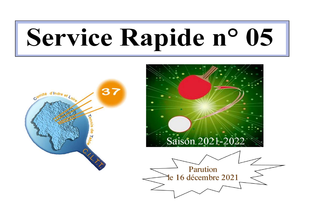# Service Rapide n° 05



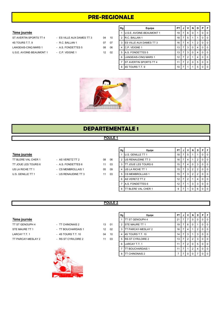## PRE-REGIONALE

#### 7ème journée

| STAVERTIN SPORTS TT 4       |
|-----------------------------|
| 4S TOURS T.T. 9             |
| <b>LANGEAIS-CINQ MARS 1</b> |
| U.S.E. AVOINE-BEAUMONT 1    |

| S VILLE AUX DAMES TT 3 |  |
|------------------------|--|
| .C. BALLAN 1           |  |
| S. FONDETTES 5         |  |
| .P. VEIGNE 1           |  |
|                        |  |

|                          |                           |                 |    | Rg | Equipe                            | PT I            | JΙ | v          | N        | D I |           | <b>PF</b>      |
|--------------------------|---------------------------|-----------------|----|----|-----------------------------------|-----------------|----|------------|----------|-----|-----------|----------------|
| 7ème journée             |                           |                 |    |    | <b>IU.S.E. AVOINE-BEAUMONT 1</b>  | 19 I            |    | - 6        | $\Omega$ |     |           | $01$ 0         |
| ST AVERTIN SPORTS TT 4   | - ES VILLE AUX DAMES TT 3 | 04              | 10 |    | 2 IR.C. BALLAN 1                  | $18$   $7$      |    | -5         |          |     |           | $0$   $0$      |
| 4S TOURS T.T. 9          | - R.C. BALLAN 1           | 07              | 07 |    | 3 <b>IES VILLE AUX DAMES TT 3</b> | 16 <sup>1</sup> |    | 4          |          |     |           | $0$   0        |
| LANGEAIS-CINQ MARS 1     | - A.S. FONDETTES 5        | 08              | 06 |    | 4 C.P. VEIGNE 1                   | $13$   $7$      |    | l 3        | $\Omega$ | 4   |           | 0 <sub>0</sub> |
| U.S.E. AVOINE-BEAUMONT 1 | - C.P. VEIGNE 1           | 12 <sup>2</sup> | 02 |    | 5   A.S. FONDETTES 5              | 13   7          |    | -3         | $\Omega$ | 4   |           | 0 <sub>0</sub> |
|                          |                           |                 |    |    | 6 LANGEAIS-CINQ MARS 1            | 12 <sub>1</sub> |    |            |          | 4   |           | 0 <sub>0</sub> |
|                          |                           |                 |    |    | <b>IST AVERTIN SPORTS TT 4</b>    | 11   7          |    | $\sqrt{2}$ | $\Omega$ | 5   | $0$   $0$ |                |
|                          |                           |                 |    |    | 8 4S TOURS T.T. 9                 | 10 $\vert$      |    |            |          | 5   |           | $0$   0        |



# DEPARTEMENTALE 1

#### POULE 1

#### 7ème journée

TT BLERE VAL CHER 1 - AS VERETZ TT 2 08 06 TT JOUE LES TOURS 6 - A.S. FONDETTES 6 11 03 US LA RICHE TT 1 - CS MEMBROLLAIS 1 05 09 U.S. GENILLE TT 1 - US RENAUDINE TT 3 11 03

| 18 | 06 |
|----|----|
| 1  | 03 |
| 15 | Ωċ |

| Rg | Equipe                  | PT |   | ν | N              | D              | Ρ | F        |
|----|-------------------------|----|---|---|----------------|----------------|---|----------|
| 1  | U.S. GENILLE TT 1       | 18 | 7 | 5 |                |                | 0 | $\Omega$ |
| 2  | US RENAUDINE TT 3       | 16 |   | 4 |                | $\overline{2}$ | 0 | $\Omega$ |
| 3  | TT JOUE LES TOURS 6     | 15 |   | 4 | O              | 3              | 0 | $\Omega$ |
| 4  | US LA RICHE TT 1        | 15 | 7 | 3 | $\overline{2}$ | 2              | 0 | $\Omega$ |
| 5  | CS MEMBROLLAIS 1        | 15 | 7 | 3 | $\overline{2}$ | 2              | 0 | $\Omega$ |
| 6  | AS VERETZ TT 2          | 12 | 7 | 2 | 1              | 4              | 0 | $\Omega$ |
| 7  | <b>A.S. FONDETTES 6</b> | 12 | 7 | 1 | 3              | 3              | 0 | $\Omega$ |
| 8  | TT BLERE VAL CHER 1     | 9  |   |   | O              | 6              | 0 | $\Omega$ |

### POULE 2

#### **7ème journée**

TT PARCAY-MESLAY 2 - RS ST CYR/LOIRE 2 11 03

TT ST GENOUPH 4 - TT CHINONAIS 2 STE MAURE TT 1 - TT BOUCHARDAIS 1 LARCAY T.T. 1 - 4S TOURS T.T. 10



| 01 |
|----|
| 02 |
| 10 |
|    |

| Rg | Equipe                    | PT |   |   | N              | n              | P | F        |
|----|---------------------------|----|---|---|----------------|----------------|---|----------|
| 1  | <b>ITT ST GENOUPH 4</b>   | 21 | 7 |   | O              | 0              | 0 | 0        |
| 2  | <b>I</b> STE MAURE TT 1   | 19 | 7 | 6 | 0              |                | 0 | 0        |
| 3  | <b>TT PARCAY-MESLAY 2</b> | 16 | 7 | 4 |                | $\overline{2}$ | O | $\Omega$ |
| 4  | 4S TOURS T.T. 10          | 14 | 7 | 3 |                | 3              | 0 | 0        |
| 5  | <b>IRS ST CYR/LOIRE 2</b> | 13 | 7 | 2 | 2              | 3              | 0 | O        |
| 6  | LARCAY T.T. 1             | 11 | 7 | 2 | O              | 5              | O | $\Omega$ |
| 7  | TT BOUCHARDAIS 1          | 11 | 7 |   | $\mathfrak{p}$ | 4              | O | $\Omega$ |
| 8  | TT CHINONAIS 2            |    |   |   | 0              |                |   | 0        |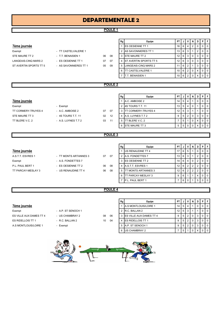# DEPARTEMENTALE 2

#### POULE 1

#### **7ème journée**

Exempt - TT CASTELVALERIE 1 STE MAURE TT 2 **- T.T. BENAISIEN 1** 06 08 LANGEAIS-CINQ MARS 2 - ES OESIENNE TT 1 07 07 07 ST AVERTIN SPORTS TT 5 - AS SAVONNIERES TT 1 05 09

| Rg | Equipe                     | ΡT |   |                | N | D | Р | F |
|----|----------------------------|----|---|----------------|---|---|---|---|
|    | <b>ES OESIENNE TT 1</b>    | 16 | 6 | 4              | 2 |   | O | O |
| 2  | <b>AS SAVONNIERES TT 1</b> | 13 | 6 | 3              |   | 2 | O | O |
| 3  | <b>ISTE MAURE TT 2</b>     | 12 | 6 | 3              | O | 3 | O | O |
| 4  | IST AVERTIN SPORTS TT 5    | 12 | 6 | 3              | O | 3 |   | O |
| 5  | LANGEAIS-CINQ MARS 2       | 11 | 6 | $\overline{2}$ |   | 3 | O | O |
| 6  | TT CASTELVALERIE 1         | 10 | 6 | 2              | ŋ |   |   | U |
|    | T.T. BENAISIEN 1           | 10 | 6 | 2              |   |   |   | ŋ |

## POULE 2

## Rg │ Equipe │ PT │ J │ V │ N │ D │ P │ F │  $\frac{7\text{ème} \text{ journey}}{1 \text{ A.C. AMBOISE 2}}$  14 5 4 1 0 0 0 Exempt - Exempt - Exempt 2 4S TOURS T.T. 11 13 5 4 0 1 0 0 TT CORMERY-TRUYES 4 - A.C. AMBOISE 2 07 07 3 TT CORMERY-TRUYES 4 12 5 3 1 10 0 STE MAURE TT 3 - 4S TOURS T.T. 11 02 12 4 A.S. LUYNES T.T 2 9 5 2 0 3 0 0 TT BLERE V.C. 2 - A.S. LUYNES T.T 2 03 11 5 TT BLERE V.C. 2 7 5 1 0 4 0 0 6 STE MAURE TT 3 5 5 0 0 4 0 0

#### POULE 3

| 7ème journée       |                       |    |     | <b>IUS RENAUDINE TT 4</b> |        | '16.   |  |          | $01$ 0 |                |
|--------------------|-----------------------|----|-----|---------------------------|--------|--------|--|----------|--------|----------------|
| A.S.T.T. ESVRES 1  | - TT MONTS ARTANNES 3 | 07 | -07 | 2 IA.S. FONDETTES 7       |        | 13   6 |  |          |        | $\overline{0}$ |
| Exempt             | - A.S. FONDETTES 7    |    |     | 3 IES OESIENNE TT 2       |        | 14   6 |  | $\Omega$ | $01$ 0 |                |
| P.L. PAUL BERT 1   | - ES OESIENNE TT 2    | 06 | 08  | 4 A.S.T.T. ESVRES 1       | 12   6 |        |  | C        | $01$ 0 |                |
| TT PARCAY-MESLAY 3 | - US RENAUDINE TT 4   | 06 | 08  | ITT MONTS ARTANNES 3      |        |        |  |          |        |                |
|                    |                       |    |     |                           |        |        |  |          |        |                |

|                    |                       |    |    | Rg | Equipe                    | PT I            | J        | v              | N        | D I | PIF            |
|--------------------|-----------------------|----|----|----|---------------------------|-----------------|----------|----------------|----------|-----|----------------|
| 7ème journée       |                       |    |    |    | <b>IUS RENAUDINE TT 4</b> |                 | $17$   6 | -5             |          |     | $0$   0        |
| A.S.T.T. ESVRES 1  | - TT MONTS ARTANNES 3 | 07 | 07 |    | 2 A.S. FONDETTES 7        |                 | 13   6   | -3             |          |     | $\overline{0}$ |
| Exempt             | - A.S. FONDETTES 7    |    |    |    | 3 IES OESIENNE TT 2       | 14 <sup>1</sup> | 6        | $\overline{4}$ | $\Omega$ |     | 0 <sub>0</sub> |
| P.L. PAUL BERT 1   | - ES OESIENNE TT 2    | 06 | 08 |    | 4 A.S.T.T. ESVRES 1       | 12 <sub>1</sub> | 6        | 2              | 2        |     | $0$   $0$      |
| TT PARCAY-MESLAY 3 | - US RENAUDINE TT 4   | 06 | 08 |    | 5 ITT MONTS ARTANNES 3    | 12 <sup>1</sup> | 6        | 2              | 2        |     | 0 <sub>0</sub> |
|                    |                       |    |    |    | 6 ITT PARCAY-MESLAY 3     | 9               | 6        |                |          | 4   | $0$   $0$      |
|                    |                       |    |    |    | <b>IP.L. PAUL BERT 1</b>  |                 | 6 I      | - 0            |          | 5   | $0$   $0$      |
|                    |                       |    |    |    |                           |                 |          |                |          |     |                |

#### POULE 4

|                         |                    |    |    | Rg | Equipe                        | <b>PT</b> |    | v            | N           | D | PIF            |                 |
|-------------------------|--------------------|----|----|----|-------------------------------|-----------|----|--------------|-------------|---|----------------|-----------------|
| 7ème journée            |                    |    |    |    | <b>JA.S MONTLOUIS/LOIRE 1</b> | 14   5    |    |              |             |   |                | 0 <sub>10</sub> |
| Exempt                  | - A.P. ST SENOCH 1 |    |    |    | 2 R.C. BALLAN 2               | 12 I      | 5  | -3           |             |   |                | $\overline{0}$  |
| ES VILLE AUX DAMES TT 4 | - US CHAMBRAY 2    | 08 | 06 |    | 3 IES VILLE AUX DAMES TT 4    | 9         | 5  | -2           |             | 3 |                | $01$ 0          |
| ES RIDELLOIS TT 1       | - R.C. BALLAN 2    | 10 | 04 |    | 4 ES RIDELLOIS TT 1           | 9         | 5  | $^{\circ}$ 2 | $\Omega$    | 3 | 0 <sub>0</sub> |                 |
| A.S MONTLOUIS/LOIRE 1   | - Exempt           |    |    |    | 5 JA.P. ST SENOCH 1           | 9         | 5  | $^{\circ}$ 2 |             |   |                | $01$ 0          |
|                         |                    |    |    |    | 6 US CHAMBRAY 2               |           | .b |              | $\mathbf 0$ | 4 | $0$   0        |                 |

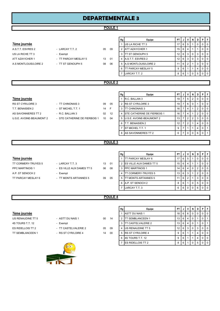# DEPARTEMENTALE 3

#### POULE 1

| A.S.T.T. ESVRES 2     | - LARCAY T.T. 2      | 05 |
|-----------------------|----------------------|----|
| US LA RICHE TT 3      | - Exempt             |    |
| ATT AZAY/CHER 1       | - TT PARCAY-MESLAY 5 | 13 |
| A.S MONTLOUIS/LOIRE 2 | - TT ST GENOUPH 5    | 08 |
|                       |                      |    |

|                       |                      |    |    | Rg | Equipe                     | PT I            | J   | v  | N              | D              | PF             |
|-----------------------|----------------------|----|----|----|----------------------------|-----------------|-----|----|----------------|----------------|----------------|
| 7ème journée          |                      |    |    |    | <b>IUS LA RICHE TT 3</b>   | 17              | 6   | -5 |                |                | $0$   $0$      |
| A.S.T.T. ESVRES 2     | - LARCAY T.T. 2      | 05 | 09 |    | 2 ATT AZAY/CHER 1          | 15 <sup>1</sup> | 6   | -4 |                |                | $01$ 0         |
| US LA RICHE TT 3      | - Exempt             |    |    |    | 3 ITT ST GENOUPH 5         | 12 <sub>1</sub> | 6 3 |    | $\Omega$       | 3              | $0$   $0$      |
| ATT AZAY/CHER 1       | - TT PARCAY-MESLAY 5 | 13 | 01 |    | 4 A.S.T.T. ESVRES 2        | $12$   6   3    |     |    | $\overline{0}$ | 3              | $0$   $0$      |
| A.S MONTLOUIS/LOIRE 2 | - TT ST GENOUPH 5    | 08 | 06 |    | 5 A.S MONTLOUIS/LOIRE 2    | 11 <sup>1</sup> | 6   | 2  |                | 3              | 0 <sub>0</sub> |
|                       |                      |    |    | 6  | <b>ITT PARCAY-MESLAY 5</b> | 9               | 6   |    |                | 4              | 0 <sub>0</sub> |
|                       |                      |    |    |    | LARCAY T.T. 2              | 8               | 6 I |    | $\Omega$       | 5 <sup>1</sup> | $0$   $0$      |
|                       |                      |    |    |    |                            |                 |     |    |                |                |                |

#### POULE<sub>2</sub>

#### 7ème journée

- 
- RS ST CYR/LOIRE 3 TT CHINONAIS 3 09 05 T.T. BENAISIEN 2 - ST MICHEL T.T. 1 14 F AS SAVONNIERES TT 2 - R.C. BALLAN 3 02 12 U.S.E. AVOINE-BEAUMONT 2 - STE CATHERINE DE FIERBOIS 1 10 04

| Rg | Equipe                            | PT |   | ν              | N              | D              | Р        | F |
|----|-----------------------------------|----|---|----------------|----------------|----------------|----------|---|
| 1  | R.C. BALLAN 3                     | 19 | 7 | 5              | 2              | O              | ŋ        | O |
| 2  | <b>IRS ST CYR/LOIRE 3</b>         | 19 |   | 6              | U              |                |          | O |
| 3  | TT CHINONAIS 3                    | 16 |   | 4              |                | $\overline{2}$ | O        | O |
| 4  | ISTE CATHERINE DE FIERBOIS 1      | 16 |   | 4              |                | 2              | 0        | O |
| 5  | <b>I</b> U.S.E. AVOINE-BEAUMONT 2 | 13 | 7 | $\overline{2}$ | $\overline{2}$ | 3              | $\Omega$ | O |
| 6  | T.T. BENAISIEN 2                  | 12 | 7 | $\mathfrak{p}$ |                |                | $\Omega$ | O |
|    | ST MICHEL T.T. 1                  | 9  |   |                |                |                | O        |   |
| 8  | AS SAVONNIERES TT 2               | 6  |   | ŋ              |                | 6              | O        |   |

#### POULE<sub>3</sub>

#### **7ème journée**

| TT CORMERY-TRUYES 5    | - LARCAY T.T. 3           | 13 | - 01 | 2 IES VILLE AUX DAMES TT 5  | 15   6     |  |  |                |
|------------------------|---------------------------|----|------|-----------------------------|------------|--|--|----------------|
| <b>PPC MARTINOIS 1</b> | - ES VILLE AUX DAMES TT 5 | 06 | 08   | 3 <b>IPPC MARTINOIS 1</b>   | 14   6     |  |  | 0 <sub>0</sub> |
| A.P. ST SENOCH 2       | - Exempt                  |    |      | <b>ITT CORMERY-TRUYES 5</b> | $13   6  $ |  |  |                |
| TT PARCAY MESLAY 6     | - TT MONTS ARTANNES 5     | 09 | 05   | <b>ITT MONTS ARTANNES 5</b> | 11   6     |  |  |                |

| Rg | Equipe                  | PT |   |   | N | D | Ρ | F        |
|----|-------------------------|----|---|---|---|---|---|----------|
|    | TT PARCAY MESLAY 6      | 17 | 6 | 5 |   | 0 | 0 | 0        |
| 2  | ES VILLE AUX DAMES TT 5 | 15 | 6 | 4 |   |   | 0 | $\Omega$ |
| 3  | <b>PPC MARTINOIS 1</b>  | 14 | 6 |   | U | 2 | 0 | 0        |
| 4  | TT CORMERY-TRUYES 5     | 13 | 6 | 3 |   | 2 | 0 | $\Omega$ |
| 5  | TT MONTS ARTANNES 5     | 11 | 6 | 2 |   | 3 | 0 | $\Omega$ |
| 6  | A.P. ST SENOCH 2        | 8  | 6 |   | 0 | 5 | 0 | $\Omega$ |
|    | LARCAY T.T. 3           | 6  | 6 |   | U | 6 | O | $\Omega$ |

## POULE<sub>4</sub>

#### **7ème journée**

| IS RENAUDINE TT 5 |  |
|-------------------|--|
| S TOURS T.T. 12   |  |
| S RIDELLOIS TT 2: |  |
| 'T SEMBLANCEEN 1  |  |

| - ASTT DU NAIS 1     | n  |  |
|----------------------|----|--|
| - Exempt             |    |  |
| - TT CASTELVALERIE 2 | 05 |  |
| - RS ST CYR/LOIRE 4  | 14 |  |
|                      |    |  |

|                   |                      |                 |    | Rg | Equipe                     | PT I            | ال. | v              | N           | D              |                | PIF            |
|-------------------|----------------------|-----------------|----|----|----------------------------|-----------------|-----|----------------|-------------|----------------|----------------|----------------|
| 7ème journée      |                      |                 |    |    | <b>ASTT DU NAIS 1</b>      | 18 6 1          |     | - 6            | $\mathbf 0$ |                |                | $0$   0        |
| US RENAUDINE TT 5 | - ASTT DU NAIS 1     | 00 <sup>°</sup> | 14 |    | <b>ITT SEMBLANCEEN 1</b>   | 13   6          |     | $\overline{4}$ | $\Omega$    |                | 0 <sup>1</sup> | $\mathbf{1}$   |
| 4S TOURS T.T. 12  | - Exempt             |                 |    |    | <b>ITT CASTELVALERIE 2</b> | 13   6          |     | $\overline{4}$ | $\Omega$    |                | $\overline{0}$ |                |
| ES RIDELLOIS TT 2 | - TT CASTELVALERIE 2 | 05              | 09 |    | 4 US RENAUDINE TT 5        | 12 <sub>1</sub> | 6   | -3             | $\Omega$    | 3              | 0 <sub>0</sub> |                |
| TT SEMBLANCEEN 1  | - RS ST CYR/LOIRE 4  | 14              | 00 |    | 5 IRS ST CYR/LOIRE 4       | 9               | 6   |                |             | 4              |                | 0 <sub>0</sub> |
|                   |                      |                 |    |    | 6 4S TOURS T.T. 12         | 9               | 6   |                |             | 4              |                | 0 <sub>0</sub> |
|                   |                      |                 |    |    | <b>IES RIDELLOIS TT 2</b>  | 8               | 6   |                | .0          | 5 <sup>1</sup> |                | $0$   $0$      |

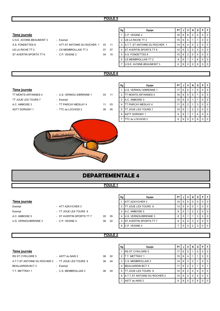#### POULE 5

| 7ème journée             |  |
|--------------------------|--|
| U.S.E. AVOINE-BEAUMONT 3 |  |
| A S FONDETTES 8          |  |

|                          |                              |       |    | Rg | Equipe                          | PTIJIVI         |       |   | IN.          | D I            | PF             |  |
|--------------------------|------------------------------|-------|----|----|---------------------------------|-----------------|-------|---|--------------|----------------|----------------|--|
| 7ème journée             |                              |       |    |    | <b>C.P. VEIGNE 2</b>            | 1866            |       |   | $\Omega$     |                | $0$   $0$      |  |
| U.S.E. AVOINE-BEAUMONT 3 | - Exempt                     |       |    |    | 2 US LA RICHE TT 2              | 15 <sup>1</sup> | 6     | 4 |              |                | $0$   $0$      |  |
| A.S. FONDETTES 8         | - ATT ST ANTOINE DU ROCHER 1 | 03 11 |    |    | 3 A.T.T. ST ANTOINE DU ROCHER 1 | 14 I            | 6     |   | $\Omega$     |                | 0 <sub>0</sub> |  |
| US LA RICHE TT 2         | - CS MEMBROLLAIS TT 2        | 07    | 07 |    | 4 IST AVERTIN SPORTS TT 6       | 12   6   3      |       |   | $\Omega$     | 3              | 0 <sub>0</sub> |  |
| ST AVERTIN SPORTS TT 6   | $-$ C.P. VEIGNE 2            | 04    | 10 |    | 5 A.S. FONDETTES 8              | $10$   6   2    |       |   | $^{\circ}$ 0 | $\overline{4}$ | 0 <sub>0</sub> |  |
|                          |                              |       |    |    | 6 ICS MEMBROLLAIS TT 2          | 9               | 6     |   |              | 4              | 0 <sub>0</sub> |  |
|                          |                              |       |    |    | <b>U.S.E. AVOINE-BEAUMONT 3</b> | 6               | 6   0 |   | l 0 l        | 6              | $0$   $0$      |  |
|                          |                              |       |    |    |                                 |                 |       |   |              |                |                |  |

#### POULE<sub>6</sub>

#### 7ème journée

TT MONTS ARTANNES 4 - U.S. VERNOU S/BRENNE 1 03 11 TT JOUE LES TOURS 7 - Exempt A.C. AMBOISE 3 - TT PARCAY-MESLAY 4 11 03

- 
- ASTT SORIGNY 1 TTC du LOCHOIS 2 09 05

| Rg                      | Equipe                 | PT | J | ٧              | N | D | P        | F |
|-------------------------|------------------------|----|---|----------------|---|---|----------|---|
| 1                       | U.S. VERNOU S/BRENNE 1 | 17 | 6 | 5              | 1 | 0 | 0        | 0 |
| $\overline{2}$          | TT MONTS ARTANNES 4    | 16 | 6 | 5              | 0 |   | 0        | O |
| 3                       | A.C. AMBOISE 3         | 15 | 6 | 4              | 1 |   | 0        | 0 |
| $\overline{\mathbf{4}}$ | TT PARCAY-MESLAY 4     | 11 | 6 | $\overline{2}$ |   | 3 | 0        | 0 |
| 5                       | TT JOUE LES TOURS 7    | 10 | 6 | 1              | 2 | 3 | 0        | 0 |
| 6                       | <b>ASTT SORIGNY 1</b>  | 9  | 6 | 1              |   | 4 | $\Omega$ | O |
|                         | TC du LOCHOIS 2        | 6  | 6 | 0              | 0 | 6 | 0        | 0 |



# DEPARTEMENTALE 4

#### POULE<sub>1</sub>

#### **7ème journée**

| $1$ cluc journee |                          |    |    |
|------------------|--------------------------|----|----|
| Exempt           | - ATT AZAY/CHER 3        |    |    |
| Exempt           | - TT JOUE LES TOURS 8    |    |    |
| A.C. AMBOISE 5   | - ST AVERTIN SPORTS TT 7 | 05 | 05 |
|                  |                          |    |    |

|                      |                          |    |    | Rg | Equipe                      | PT I   |             | v  | N   | D |                | PIF            |
|----------------------|--------------------------|----|----|----|-----------------------------|--------|-------------|----|-----|---|----------------|----------------|
| <u>7ème journée</u>  |                          |    |    |    | <b>ATT AZAY/CHER 3</b>      | 15   5 |             | -5 | . 0 |   |                | 0 <sub>0</sub> |
| Exempt               | - ATT AZAY/CHER 3        |    |    |    | <b>ITT JOUE LES TOURS 8</b> | 13 I   | 5           |    | 0   |   |                | 0 <sub>0</sub> |
| Exempt               | - TT JOUE LES TOURS 8    |    |    |    | $A.C.$ AMBOISE 5            | 9      | b           |    |     |   |                | 0 <sub>0</sub> |
| A.C. AMBOISE 5       | - ST AVERTIN SPORTS TT 7 | 05 | 05 |    | 4 IU.S. VERNOU/BRENNE 3     | 8      | 5           |    |     |   |                | 0 <sub>0</sub> |
| U.S. VERNOU/BRENNE 3 | $-$ C.P. VEIGNE 4        | 08 | 02 |    | 5 IST AVERTIN SPORTS TT 7   | 8      | 5           |    | 3   |   | 0 <sub>0</sub> |                |
|                      |                          |    |    |    | 6 C.P. VEIGNE 4             |        | $5^{\circ}$ |    |     |   |                | 0 1 0          |

#### POULE 2

|                                                    |                      |    |     | ۰.ч | Lyunc                          |          |           |    |  |                |
|----------------------------------------------------|----------------------|----|-----|-----|--------------------------------|----------|-----------|----|--|----------------|
| 7ème journée                                       |                      |    |     |     | <b>IRS ST CYR/LOIRE 5</b>      |          | <b>16</b> |    |  | $\overline{0}$ |
| RS ST CYR/LOIRE 5                                  | - ASTT du NAIS 2     | 08 | -02 |     | 2 IT.T. METTRAY 1              | 15   6   |           |    |  | ΙO             |
| A.T.T.ST ANTOINE DU ROCHER 2 - TT JOUE LES TOURS 9 |                      | 06 | 04  |     | 3 IC.S. MEMBROLLAIS 3          | 14       | I 6       | -3 |  | $\overline{0}$ |
| BEAUJARDIN BCT 3                                   | - Exempt             |    |     |     | <b>IBEAUJARDIN BCT 3</b>       |          | <b>16</b> |    |  |                |
| T.T. METTRAY 1                                     | - C.S. MEMBROLLAIS 3 | 06 | 04  |     | 5 ITT JOUE LES TOURS 9         | 10 I 6   |           |    |  | $\overline{0}$ |
|                                                    |                      |    |     |     | LA T T ST ANTOINE DI LROCHER 2 | 10 L 6 L |           |    |  |                |

| Rg             | Equipe                                | ΡT | J | v              | N              | D | P        | F        |
|----------------|---------------------------------------|----|---|----------------|----------------|---|----------|----------|
| 1              | IRS ST CYR/LOIRE 5                    | 17 | 6 | 5              |                | 0 | 0        | $\Omega$ |
| $\overline{2}$ | IT.T. METTRAY 1                       | 15 | 6 | 4              |                |   | $\Omega$ | $\Omega$ |
| 3              | IC.S. MEMBROLLAIS 3                   | 14 | 6 | 3              | $\overline{2}$ |   | $\Omega$ | $\Omega$ |
| 4              | <b>BEAUJARDIN BCT 3</b>               | 11 | 6 | $\overline{2}$ | $\overline{2}$ |   | 0        |          |
| 5              | TT JOUE LES TOURS 9                   | 10 | 6 | $\overline{2}$ | $\Omega$       | 4 | $\Omega$ | $\Omega$ |
| 6              | <b>I</b> A.T.T.ST ANTOINE DU ROCHER 2 | 10 | 6 | $\overline{2}$ | $\Omega$       | 4 | $\Omega$ | $\Omega$ |
|                | ASTT du NAIS 2                        | 6  | 6 | $\Omega$       | $\Omega$       | 6 | $\Omega$ | $\Omega$ |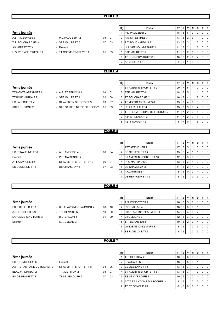#### POULE 3

|                         |                               |    |                    | Rg             | Equipe                                | PT              | J               | V              | N              | D                       | P           | F           |
|-------------------------|-------------------------------|----|--------------------|----------------|---------------------------------------|-----------------|-----------------|----------------|----------------|-------------------------|-------------|-------------|
| <b>7ème journée</b>     |                               |    |                    | $\mathbf{1}$   | P.L. PAUL BERT 2                      | 18              | $6\phantom{1}6$ | $\,6$          | $\mathbf 0$    | $\Omega$                | $\mathbf 0$ | $\mathbf 0$ |
| A.S.T.T. ESVRES 3       | - P.L. PAUL BERT 2            | 03 | 07                 | $\overline{2}$ | A.S.T.T. ESVRES 3                     | 13              | 6               | $\overline{2}$ | 3              | 1                       | 0           | $\mathbf 0$ |
| T.T. BOUCHARDAIS 3      | - STE MAURE TT 5              | 07 | 03                 | 3              | <b>T.T. BOUCHARDAIS 3</b>             | 13              | 6               | 3              | 1              | $\overline{2}$          | $\mathbf 0$ | $\mathbf 0$ |
| AS VERETZ TT 3          | - Exempt                      |    |                    | 4              | U.S. VERNOU /BRENNE 2                 | 11              | 6               | $\sqrt{2}$     | $\mathbf{1}$   | 3                       | $\mathbf 0$ | $\mathbf 0$ |
| U.S. VERNOU /BRENNE 2   | - TT CORMERY-TRUYES 6         | 01 | 09                 | 5              | STE MAURE TT 5                        | 11              | 6               | $\sqrt{2}$     | $\mathbf{1}$   | 3                       | $\pmb{0}$   | $\mathbf 0$ |
|                         |                               |    |                    | 6              | <b>TT CORMERY-TRUYES 6</b>            | 10              | 6               | $\sqrt{2}$     | $\mathbf 0$    | $\overline{4}$          | $\pmb{0}$   | $\mathbf 0$ |
|                         |                               |    |                    | $\overline{7}$ | AS VERETZ TT 3                        | 8               | 6               | $\mathbf{1}$   | $\mathbf 0$    | 5                       | $\mathbf 0$ | $\mathbf 0$ |
|                         |                               |    |                    |                |                                       |                 |                 |                |                |                         |             |             |
|                         |                               |    | <b>POULE 4</b>     |                |                                       |                 |                 |                |                |                         |             |             |
|                         |                               |    |                    |                |                                       |                 |                 |                |                |                         |             |             |
|                         |                               |    |                    |                |                                       |                 |                 |                |                |                         |             |             |
|                         |                               |    |                    | Rg             | Equipe                                | PT              | J               | V              | N              | D                       | P           | F           |
| <b>7ème journée</b>     |                               |    |                    | $\mathbf{1}$   | ST AVERTIN SPORTS TT 9                | 20              | $\overline{7}$  | $\,6\,$        | $\mathbf{1}$   | $\mathbf 0$             | $\pmb{0}$   | $\pmb{0}$   |
| TT MONTS ARTANNES 6     | - A.P. ST SENOCH 3            | 08 | 02                 | $\overline{2}$ | <b>I</b> STE MAURE TT 4               | 18              | $\overline{7}$  | 5              | $\mathbf{1}$   | $\mathbf{1}$            | $\pmb{0}$   | $\mathbf 0$ |
| <b>TT BOUCHARDAIS 2</b> | - STE MAURE TT 4              | 02 | 08                 | 3              | <b>ITT BOUCHARDAIS 2</b>              | 16              | $\overline{7}$  | 4              | $\mathbf{1}$   | 2                       | 0           | $\mathsf 0$ |
| US LA RICHE TT 4        | - ST AVERTIN SPORTS TT 9      | 03 | 07                 | 4              | <b>TT MONTS ARTANNES 6</b>            | 15              | $\overline{7}$  | $\overline{4}$ | $\mathbf 0$    | 3                       | 0           | $\mathbf 0$ |
| <b>ASTT SORIGNY 2</b>   | - STE CATHERINE DE FIERBOIS 2 | 01 | 09                 | 5              | US LA RICHE TT 4                      | 13              | $\overline{7}$  | $\mathbf{3}$   | $\mathbf 0$    | $\overline{\mathbf{4}}$ | $\pmb{0}$   | $\mathbf 0$ |
|                         |                               |    |                    | 6              | <b>TT STE CATHERINE DE FIERBOIS 2</b> | 11              | $\overline{7}$  | $\sqrt{2}$     | $\mathbf 0$    | 5                       | $\pmb{0}$   | $\mathbf 0$ |
|                         |                               |    |                    | $\overline{7}$ | A.P. ST SENOCH 3                      | 11              | $\overline{7}$  | $\sqrt{2}$     | $\mathbf 0$    | 5                       | $\mathbf 0$ | $\mathbf 0$ |
|                         |                               |    |                    | 8              | <b>ASTT SORIGNY 2</b>                 | 8               | $\overline{7}$  | $\mathbf 0$    | 1              | 6                       | 0           | $\mathsf 0$ |
|                         |                               |    |                    |                |                                       |                 |                 |                |                |                         |             |             |
| POULE <sub>5</sub>      |                               |    |                    |                |                                       |                 |                 |                |                |                         |             |             |
|                         |                               |    |                    |                |                                       |                 |                 |                |                |                         |             |             |
|                         |                               |    |                    | Rg             | Equipe                                | PT              | J               | $\mathsf{v}$   | N              | D                       | P           | F           |
| 7ème journée            |                               |    |                    | $\mathbf{1}$   | <b>ATT AZAY/CHER 2</b>                | 17              | 6               | 5              | $\mathbf{1}$   | $\mathbf 0$             | $\pmb{0}$   | $\mathbf 0$ |
| US RENAUDINE TT 6       | - A.C. AMBOISE 4              | 06 | 04                 | $\overline{2}$ | <b>ES OESIENNE TT 4</b>               | 15              | 6               | $\overline{4}$ | $\mathbf{1}$   | $\mathbf{1}$            | $\mathsf 0$ | $\mathbf 0$ |
| Exempt                  | - PPC MARTINOIS 2             |    |                    | 3              | ST AVERTIN SPORTS TT 10               | 12              | 6               | 3              | $\mathbf 0$    | 3                       | $\mathbf 0$ | $\mathsf 0$ |
| ATT AZAY/CHER 2         | - ST AVERTIN SPORTS TT 10     | 06 | 04                 | 4              | PPC MARTINOIS 2                       | 13              | 6               | 3              | 1              | $\overline{2}$          | $\mathbf 0$ | $\mathbf 0$ |
| ES OESIENNE TT 4        | - US CHAMBRAY 3               | 07 | 03                 | 5              | US CHAMBRAY 3                         | 11              | 6               | $\sqrt{2}$     | $\mathbf{1}$   | 3                       | $\pmb{0}$   | $\mathbf 0$ |
|                         |                               |    |                    |                |                                       |                 |                 |                |                |                         |             |             |
|                         |                               |    |                    | 6              | A.C. AMBOISE 4                        | 8               | 6               | $\mathsf 0$    | $\overline{2}$ | $\overline{4}$          | $\pmb{0}$   | $\mathbf 0$ |
|                         |                               |    |                    | $\overline{7}$ | US RENAUDINE TT 6                     | 8               | $6\phantom{1}$  | $\mathbf{1}$   | $\mathbf 0$    | 5                       | $\mathbf 0$ | $\mathbf 0$ |
|                         |                               |    |                    |                |                                       |                 |                 |                |                |                         |             |             |
|                         |                               |    | POULE <sub>6</sub> |                |                                       |                 |                 |                |                |                         |             |             |
|                         |                               |    |                    |                |                                       |                 |                 |                |                |                         |             |             |
|                         |                               |    |                    | Rg             | <b>Equipe</b>                         | PT              | J               | V              | N              | D                       | P           | F           |
| 7ème journée            |                               |    |                    | $\mathbf{1}$   | A.S. FONDETTES 9                      | 16              | 6               | 5              | $\mathbf 0$    | $\mathbf{1}$            | $\mathbf 0$ | $\mathbf 0$ |
|                         |                               |    |                    |                |                                       |                 |                 |                | $\mathbf 0$    | $\mathbf{1}$            | $\mathbf 0$ | $\mathbf 0$ |
| ES RIDELLOIS TT 3       | - U.S.E. AVOINE-BEAUMONT 4    | 00 | 10                 | $\overline{2}$ | R.C. BALLAN 4                         | 16              | $6\phantom{.}6$ | $\mathbf 5$    |                |                         |             |             |
| A.S. FONDETTES 9        | - T.T. BENAISIEN 3            | 10 | 00                 | 3              | U.S.E. AVOINE-BEAUMONT 4              | 14              | 6               | 4              | $\mathbf 0$    | $\overline{2}$          | $\mathbf 0$ | $\mathbf 0$ |
| LANGEAIS-CINQ MARS 3    | - R.C. BALLAN 4               | 01 | 09                 | 4              | C.P. VEIGNE 3                         | 12 <sup>2</sup> | 6               | 3              | 0              | 3                       | $\mathbf 0$ | $\mathbf 0$ |
| Exempt                  | - C.P. VEIGNE 3               |    |                    | 5              | T.T. BENAISIEN 3                      | 10              | 6               | $\sqrt{2}$     | $\mathbf 0$    | 4                       | 0           | $\mathbf 0$ |
|                         |                               |    |                    | 6              | LANGEAIS-CINQ MARS 3                  | 8               | 6               | $\mathbf{1}$   | $\mathbf 0$    | 5                       | 0           | $\mathbf 0$ |
|                         |                               |    |                    | $\overline{7}$ | <b>ES RIDELLOIS TT 3</b>              |                 |                 | $\mathbf{1}$   | $\mathbf 0$    |                         |             |             |
|                         |                               |    |                    |                |                                       | 8               | 6               |                |                | 5                       | $\mathbf 0$ | $\mathbf 0$ |

|                              |                          |    |    | nч | Luupc                          | <b>FII</b> | ا ك | - IV | . ש |                |
|------------------------------|--------------------------|----|----|----|--------------------------------|------------|-----|------|-----|----------------|
| 7ème journée                 |                          |    |    |    | IT.T. METTRAY 2                | 186660     |     |      |     | 0 <sub>0</sub> |
| RS ST CYR/LOIRE 6            | - Exempt                 |    |    |    | 2 BEAUJARDIN BCT 2             | 16   6   5 |     |      |     | $\overline{0}$ |
| A.T.T.ST ANTOINE DU ROCHER 3 | - ST AVERTIN SPORTS TT 8 | 04 | 06 |    | 3 IES OESIENNE TT 5            | 13   6     |     |      |     | $\overline{0}$ |
| <b>BEAUJARDIN BCT 2</b>      | - T.T. METTRAY 2         | 03 | 07 |    | <b>IST AVERTIN SPORTS TT 8</b> | 13   6   3 |     |      | 2   | $01$ 0         |
| ES OESIENNE TT 5             | - TT ST GENOUPH 6        | 07 | 03 |    | 5 IRS ST CYR/LOIRE 6           | 10   6     |     |      |     | $\overline{0}$ |

| Rg             | Equipe                         | PT | J | ٧              | N        | D              | Ρ        | F        |
|----------------|--------------------------------|----|---|----------------|----------|----------------|----------|----------|
|                | T.T. METTRAY 2                 | 18 | 6 | 6              | $\Omega$ | 0              | 0        | $\Omega$ |
| $\overline{2}$ | <b>BEAUJARDIN BCT 2</b>        | 16 | 6 | 5              | 0        | 1              | 0        | $\Omega$ |
| 3              | <b>ES OESIENNE TT 5</b>        | 13 | 6 | 3              | 1        | 2              | 0        | $\Omega$ |
| 4              | <b>IST AVERTIN SPORTS TT 8</b> | 13 | 6 | 3              | 1        | $\overline{2}$ | $\Omega$ | $\Omega$ |
| 5              | <b>IRS ST CYR/LOIRE 6</b>      | 10 | 6 | $\overline{2}$ | 0        | 4              | $\Omega$ | $\Omega$ |
| 6              | A.T.T.ST ANTOINE DU ROCHER 3   | 8  | 6 | 1              | $\Omega$ | 5              | $\Omega$ | $\Omega$ |
|                | ITT ST GENOUPH 6               | 6  | 6 | $\Omega$       | $\Omega$ | 6              | 0        | $\Omega$ |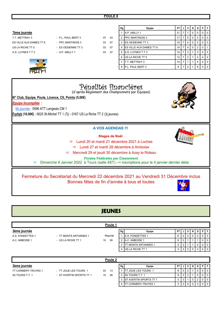$R_{\text{m}}$   $R_{\text{m}}$   $R_{\text{m}}$   $R_{\text{m}}$   $R_{\text{m}}$   $R_{\text{m}}$   $R_{\text{m}}$   $R_{\text{m}}$   $R_{\text{m}}$   $R_{\text{m}}$   $R_{\text{m}}$   $R_{\text{m}}$   $R_{\text{m}}$   $R_{\text{m}}$   $R_{\text{m}}$   $R_{\text{m}}$   $R_{\text{m}}$   $R_{\text{m}}$   $R_{\text{m}}$   $R_{\text{m}}$   $R_{\text{m}}$   $R_{\text{m}}$ 

|                                                                                                                                                                                                                                                                                                  |                                             |                          |    | ny | ⊏quipe                    | гI.             | $\mathbf{v}$   | Y              | ш        | U |                |                |
|--------------------------------------------------------------------------------------------------------------------------------------------------------------------------------------------------------------------------------------------------------------------------------------------------|---------------------------------------------|--------------------------|----|----|---------------------------|-----------------|----------------|----------------|----------|---|----------------|----------------|
| <b>7ème journée</b>                                                                                                                                                                                                                                                                              |                                             |                          |    |    | A.P. ABILLY 1             | 21              | $\overline{7}$ | $\overline{7}$ | $\Omega$ | 0 | $\overline{0}$ | $\overline{0}$ |
| T.T. METTRAY 3                                                                                                                                                                                                                                                                                   | - P.L. PAUL BERT 3                          | 07                       | 03 |    | <b>IPPC MARTINOIS 3</b>   | 17              |                | 5              | 0        | 2 | $\overline{0}$ | $\overline{0}$ |
| ES VILLE AUX DAMES TT 6                                                                                                                                                                                                                                                                          | - PPC MARTINOIS 3                           | 03                       | 07 |    | 3 ES OESIENNE TT 3        | 15              |                | 4              | 0        | 3 | 0              | $\Omega$       |
| US LA RICHE TT 5                                                                                                                                                                                                                                                                                 | - ES OESIENNE TT 3                          | 03                       | 07 |    | 4 ES VILLE AUX DAMES TT 6 | 14              |                | 4              | 0        | 2 | 0              |                |
| A.S. LUYNES T.T 3                                                                                                                                                                                                                                                                                | - A.P. ABILLY 1                             | 03                       | 07 |    | 5 A.S. LUYNES T.T 3       | 14              |                | 3              |          | 3 | 0              | 0              |
|                                                                                                                                                                                                                                                                                                  |                                             |                          |    |    | 6 US LA RICHE TT 5        | 12              |                | 2              |          | 4 | $\overline{0}$ | $\mathbf 0$    |
|                                                                                                                                                                                                                                                                                                  |                                             |                          |    |    | <b>IT.T. METTRAY 3</b>    | 10 <sup>1</sup> | $\overline{7}$ |                |          | 5 | 0              | $\overline{0}$ |
|                                                                                                                                                                                                                                                                                                  |                                             |                          |    |    | 8 P.L. PAUL BERT 3        | 8               |                | $\Omega$       |          | 6 | $\overline{0}$ | $\overline{0}$ |
| Pépalités fipapcières<br>(d'après Règlement des Championnats par Equipes)<br>N° Club, Equipe, Poule, Licence, Clt, Points (5,00€)<br>Equipe Incomplète :<br>6è journée : 0596 ATT Langeais CM 1<br>Forfait (10,00 $\varepsilon$ ) : 0625 St-Michel TT 1 (7j) - 0167 US La Riche TT 2 (3j jeunes) |                                             |                          |    |    |                           |                 |                |                |          |   |                |                |
|                                                                                                                                                                                                                                                                                                  |                                             | <b>A VOS AGENDAS !!!</b> |    |    |                           |                 |                |                |          |   |                |                |
| <b>Stages de Noël</b><br>$\Rightarrow$                                                                                                                                                                                                                                                           |                                             |                          |    |    |                           |                 |                |                |          |   |                |                |
|                                                                                                                                                                                                                                                                                                  | Lundi 20 et mardi 21 décembre 2021 à Loches |                          |    |    |                           |                 |                |                |          |   |                |                |

Lundi 27 et mardi 28 décembre à Amboise

Mercredi 29 et jeudi 30 décembre à Azay le Rideau

#### Finales Fédérales par Classement

 $\Rightarrow$  Dimanche 9 Janvier 2022 à Tours (salle 4ST) --> inscriptions pour le 4 janvier dernier délai

## Fermeture du Secrétariat du Mercredi 22 décembre 2021 au Vendredi 31 Décembre inclus Bonnes fêtes de fin d'année à tous et toutes

# JEUNES

|                  |                       | Poule 1  |    |                                 |      |                |   |   |     |     |                |
|------------------|-----------------------|----------|----|---------------------------------|------|----------------|---|---|-----|-----|----------------|
| 3ème journée     |                       |          | Rg | Equipe                          | PT I | J              | v |   | D I | P I | F.             |
| A.S. FONDETTES 1 | - TT MONTS ARTANNES 1 | Reporté  |    | <b>JA.S. FONDETTES 1</b>        | 6    | 2 <sub>1</sub> |   | 0 |     |     | $\overline{0}$ |
| A.C. AMBOISE 1   | - US LA RICHE TT 1    | 06<br>10 |    | A.C. AMBOISE 1                  | 6    | 3              |   |   |     |     | $\Omega$       |
|                  |                       |          |    | <b>FMONTS ARTANNES 1</b><br>ITT | 5    | റ              |   |   |     |     | $\Omega$       |
|                  |                       |          |    | US LA RICHE TT 1                | 3    | 3              |   |   |     |     | $\overline{0}$ |
|                  |                       |          |    |                                 |      |                |   |   |     |     |                |

|                            | Poule 2                  |    |      |    |                               |    |  |   |   |   |  |                |
|----------------------------|--------------------------|----|------|----|-------------------------------|----|--|---|---|---|--|----------------|
| 3ème journée               |                          |    |      | Rg | Equipe                        | PT |  | V | N | D |  | l Fi           |
| <b>TT CORMERY-TRUYES 1</b> | - TT JOUE LES TOURS 1    | 03 | -13  |    | <b>ITT JOUE LES TOURS 1</b>   | 8  |  |   |   |   |  | I 0 I          |
| 4S TOURS T.T. 1            | - ST AVERTIN SPORTS TT 1 | 10 | - 06 |    | <b>I4S TOURS T.T. 1</b>       | 8  |  |   |   |   |  | I 0 I          |
|                            |                          |    |      |    | <b>ST AVERTIN SPORTS TT 1</b> | 5  |  |   |   |   |  | 10'            |
|                            |                          |    |      |    | <b>ITT CORMERY-TRUYES 1</b>   | 3  |  | 0 |   |   |  | $\overline{0}$ |